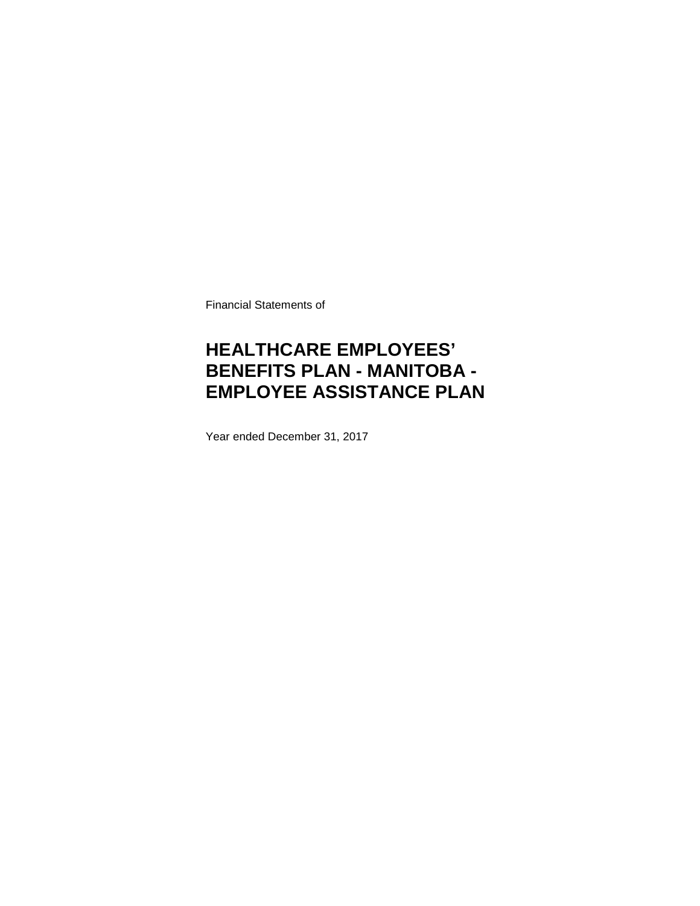Financial Statements of

# **HEALTHCARE EMPLOYEES' BENEFITS PLAN - MANITOBA - EMPLOYEE ASSISTANCE PLAN**

Year ended December 31, 2017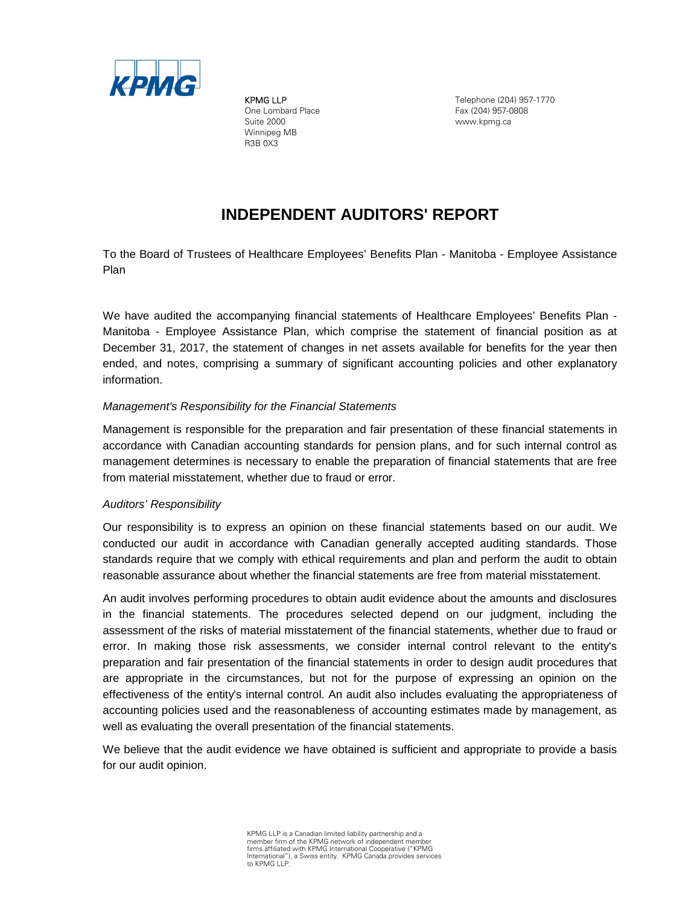

KPMG LLP One Lombard Place Suite 2000 Winnipeg MB R3B 0X3

Telephone (204) 957-1770 Fax (204) 957-0808 www.kpmg.ca

### **INDEPENDENT AUDITORS' REPORT**

To the Board of Trustees of Healthcare Employees' Benefits Plan - Manitoba - Employee Assistance Plan

We have audited the accompanying financial statements of Healthcare Employees' Benefits Plan - Manitoba - Employee Assistance Plan, which comprise the statement of financial position as at December 31, 2017, the statement of changes in net assets available for benefits for the year then ended, and notes, comprising a summary of significant accounting policies and other explanatory information.

### *Management's Responsibility for the Financial Statements*

Management is responsible for the preparation and fair presentation of these financial statements in accordance with Canadian accounting standards for pension plans, and for such internal control as management determines is necessary to enable the preparation of financial statements that are free from material misstatement, whether due to fraud or error.

### *Auditors' Responsibility*

Our responsibility is to express an opinion on these financial statements based on our audit. We conducted our audit in accordance with Canadian generally accepted auditing standards. Those standards require that we comply with ethical requirements and plan and perform the audit to obtain reasonable assurance about whether the financial statements are free from material misstatement.

An audit involves performing procedures to obtain audit evidence about the amounts and disclosures in the financial statements. The procedures selected depend on our judgment, including the assessment of the risks of material misstatement of the financial statements, whether due to fraud or error. In making those risk assessments, we consider internal control relevant to the entity's preparation and fair presentation of the financial statements in order to design audit procedures that are appropriate in the circumstances, but not for the purpose of expressing an opinion on the effectiveness of the entity's internal control. An audit also includes evaluating the appropriateness of accounting policies used and the reasonableness of accounting estimates made by management, as well as evaluating the overall presentation of the financial statements.

We believe that the audit evidence we have obtained is sufficient and appropriate to provide a basis for our audit opinion.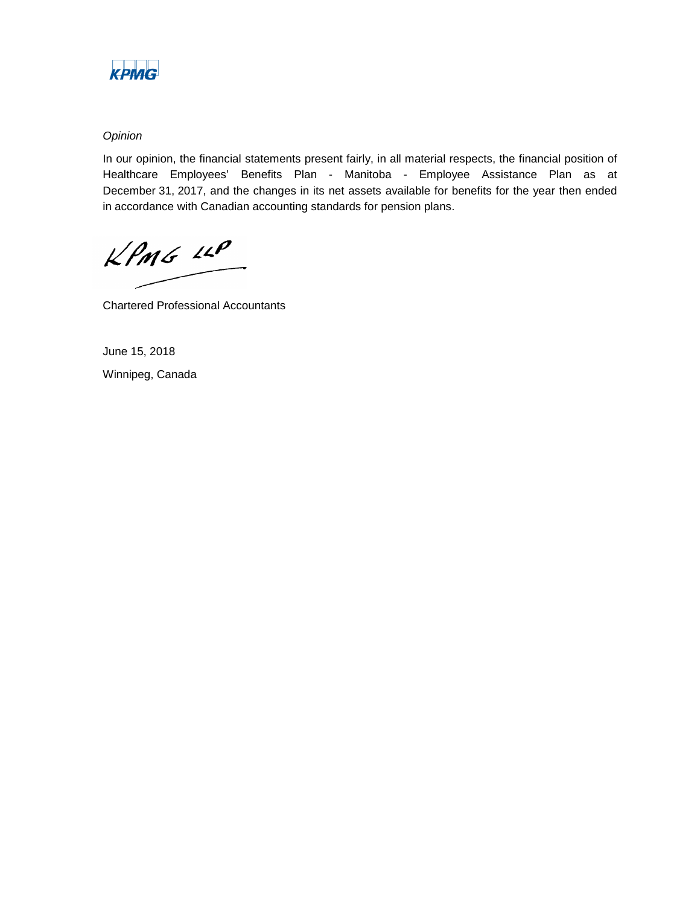

### *Opinion*

In our opinion, the financial statements present fairly, in all material respects, the financial position of Healthcare Employees' Benefits Plan - Manitoba - Employee Assistance Plan as at December 31, 2017, and the changes in its net assets available for benefits for the year then ended in accordance with Canadian accounting standards for pension plans.

 $KPMG$  14P

Chartered Professional Accountants

June 15, 2018 Winnipeg, Canada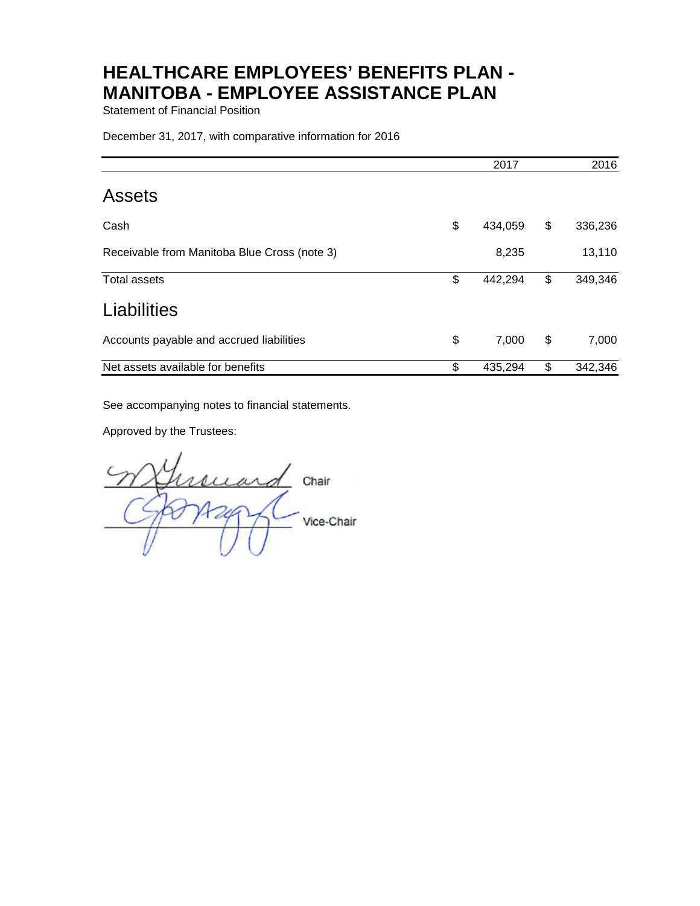Statement of Financial Position

December 31, 2017, with comparative information for 2016

|                                              | 2017          | 2016          |
|----------------------------------------------|---------------|---------------|
| <b>Assets</b>                                |               |               |
| Cash                                         | \$<br>434,059 | \$<br>336,236 |
| Receivable from Manitoba Blue Cross (note 3) | 8,235         | 13,110        |
| <b>Total assets</b>                          | \$<br>442,294 | \$<br>349,346 |
| Liabilities                                  |               |               |
| Accounts payable and accrued liabilities     | \$<br>7,000   | \$<br>7,000   |
| Net assets available for benefits            | 435,294       | \$<br>342,346 |

See accompanying notes to financial statements.

Approved by the Trustees:

rouard Chair Vice-Chair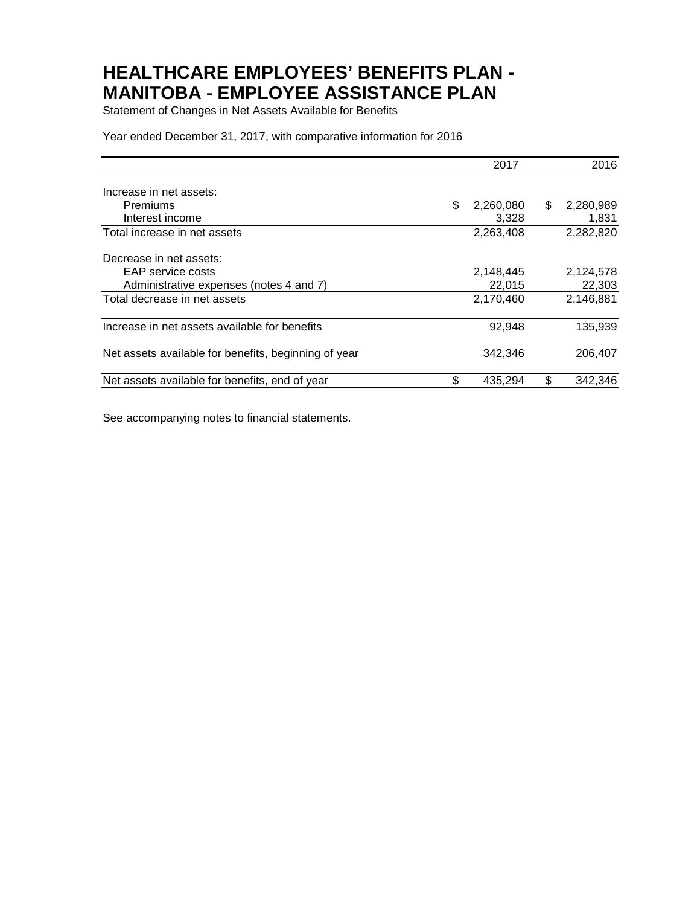Statement of Changes in Net Assets Available for Benefits

Year ended December 31, 2017, with comparative information for 2016

|                                                      | 2017            | 2016            |
|------------------------------------------------------|-----------------|-----------------|
| Increase in net assets:                              |                 |                 |
| Premiums                                             | \$<br>2,260,080 | \$<br>2,280,989 |
| Interest income                                      | 3,328           | 1,831           |
| Total increase in net assets                         | 2,263,408       | 2,282,820       |
| Decrease in net assets:                              |                 |                 |
| EAP service costs                                    | 2,148,445       | 2,124,578       |
| Administrative expenses (notes 4 and 7)              | 22,015          | 22,303          |
| Total decrease in net assets                         | 2,170,460       | 2,146,881       |
| Increase in net assets available for benefits        | 92,948          | 135,939         |
| Net assets available for benefits, beginning of year | 342,346         | 206,407         |
| Net assets available for benefits, end of year       | 435,294         | \$<br>342,346   |

See accompanying notes to financial statements.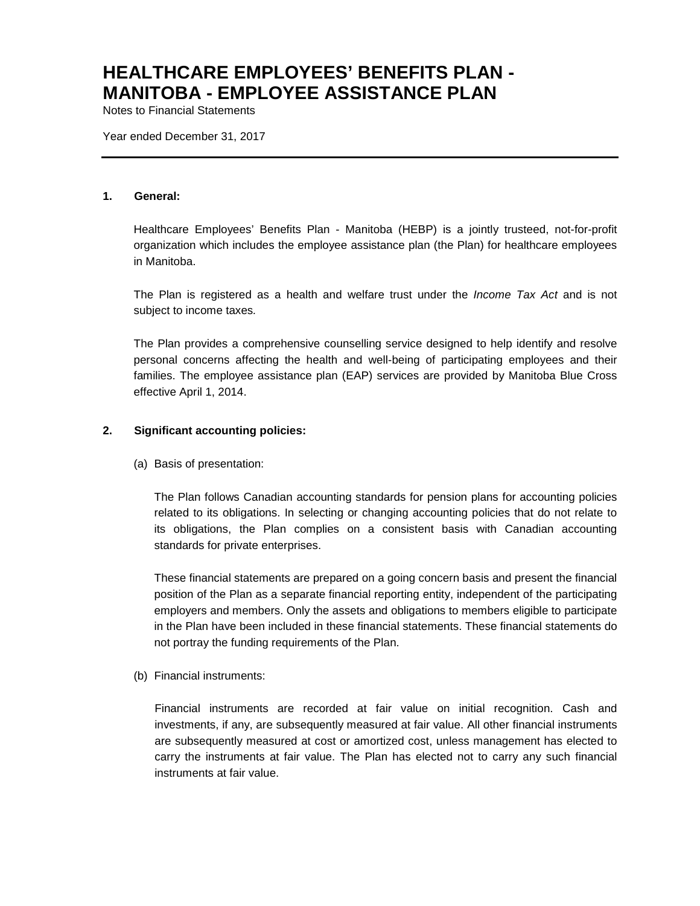Notes to Financial Statements

Year ended December 31, 2017

#### **1. General:**

Healthcare Employees' Benefits Plan - Manitoba (HEBP) is a jointly trusteed, not-for-profit organization which includes the employee assistance plan (the Plan) for healthcare employees in Manitoba.

The Plan is registered as a health and welfare trust under the *Income Tax Act* and is not subject to income taxes*.*

The Plan provides a comprehensive counselling service designed to help identify and resolve personal concerns affecting the health and well-being of participating employees and their families. The employee assistance plan (EAP) services are provided by Manitoba Blue Cross effective April 1, 2014.

### **2. Significant accounting policies:**

(a) Basis of presentation:

The Plan follows Canadian accounting standards for pension plans for accounting policies related to its obligations. In selecting or changing accounting policies that do not relate to its obligations, the Plan complies on a consistent basis with Canadian accounting standards for private enterprises.

These financial statements are prepared on a going concern basis and present the financial position of the Plan as a separate financial reporting entity, independent of the participating employers and members. Only the assets and obligations to members eligible to participate in the Plan have been included in these financial statements. These financial statements do not portray the funding requirements of the Plan.

(b) Financial instruments:

Financial instruments are recorded at fair value on initial recognition. Cash and investments, if any, are subsequently measured at fair value. All other financial instruments are subsequently measured at cost or amortized cost, unless management has elected to carry the instruments at fair value. The Plan has elected not to carry any such financial instruments at fair value.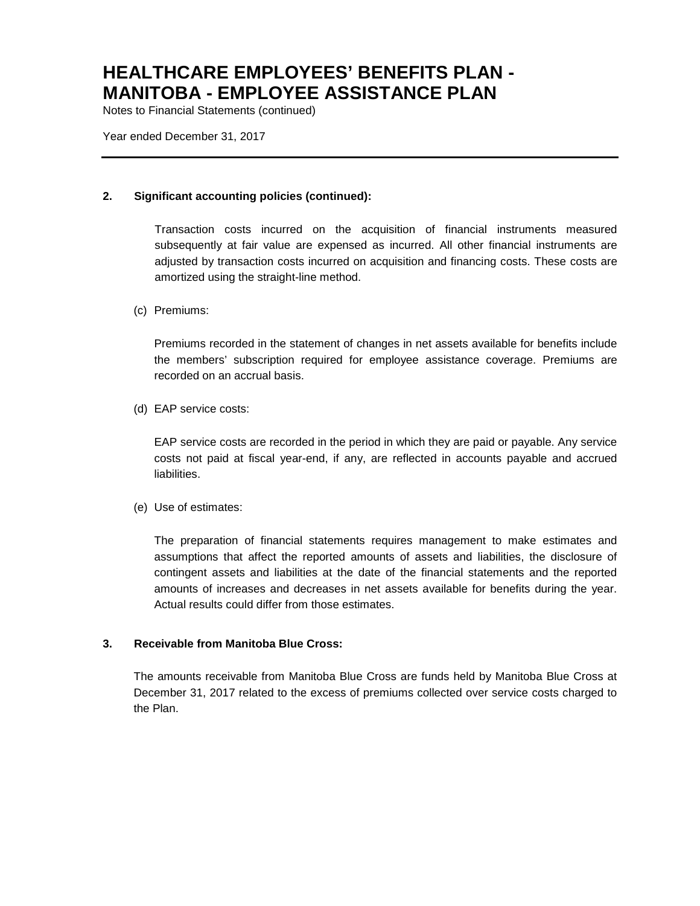Notes to Financial Statements (continued)

Year ended December 31, 2017

### **2. Significant accounting policies (continued):**

Transaction costs incurred on the acquisition of financial instruments measured subsequently at fair value are expensed as incurred. All other financial instruments are adjusted by transaction costs incurred on acquisition and financing costs. These costs are amortized using the straight-line method.

### (c) Premiums:

Premiums recorded in the statement of changes in net assets available for benefits include the members' subscription required for employee assistance coverage. Premiums are recorded on an accrual basis.

(d) EAP service costs:

EAP service costs are recorded in the period in which they are paid or payable. Any service costs not paid at fiscal year-end, if any, are reflected in accounts payable and accrued liabilities.

(e) Use of estimates:

The preparation of financial statements requires management to make estimates and assumptions that affect the reported amounts of assets and liabilities, the disclosure of contingent assets and liabilities at the date of the financial statements and the reported amounts of increases and decreases in net assets available for benefits during the year. Actual results could differ from those estimates.

### **3. Receivable from Manitoba Blue Cross:**

The amounts receivable from Manitoba Blue Cross are funds held by Manitoba Blue Cross at December 31, 2017 related to the excess of premiums collected over service costs charged to the Plan.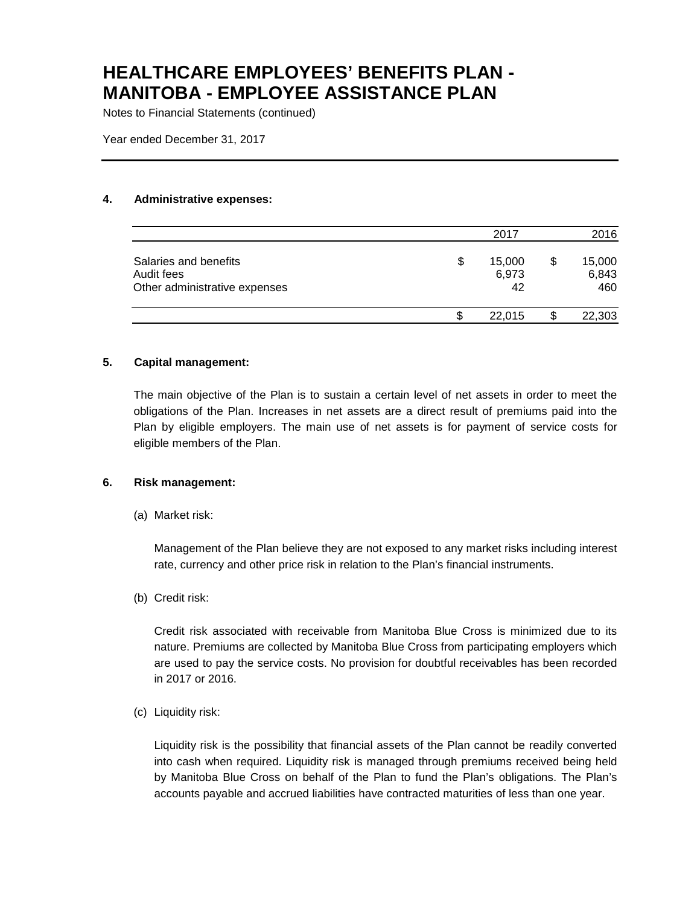Notes to Financial Statements (continued)

Year ended December 31, 2017

### **4. Administrative expenses:**

|                                                                      | 2017                        | 2016                   |
|----------------------------------------------------------------------|-----------------------------|------------------------|
| Salaries and benefits<br>Audit fees<br>Other administrative expenses | \$<br>15,000<br>6,973<br>42 | 15,000<br>6,843<br>460 |
|                                                                      | \$<br>22,015                | 22,303                 |

### **5. Capital management:**

The main objective of the Plan is to sustain a certain level of net assets in order to meet the obligations of the Plan. Increases in net assets are a direct result of premiums paid into the Plan by eligible employers. The main use of net assets is for payment of service costs for eligible members of the Plan.

### **6. Risk management:**

(a) Market risk:

Management of the Plan believe they are not exposed to any market risks including interest rate, currency and other price risk in relation to the Plan's financial instruments.

(b) Credit risk:

Credit risk associated with receivable from Manitoba Blue Cross is minimized due to its nature. Premiums are collected by Manitoba Blue Cross from participating employers which are used to pay the service costs. No provision for doubtful receivables has been recorded in 2017 or 2016.

(c) Liquidity risk:

Liquidity risk is the possibility that financial assets of the Plan cannot be readily converted into cash when required. Liquidity risk is managed through premiums received being held by Manitoba Blue Cross on behalf of the Plan to fund the Plan's obligations. The Plan's accounts payable and accrued liabilities have contracted maturities of less than one year.